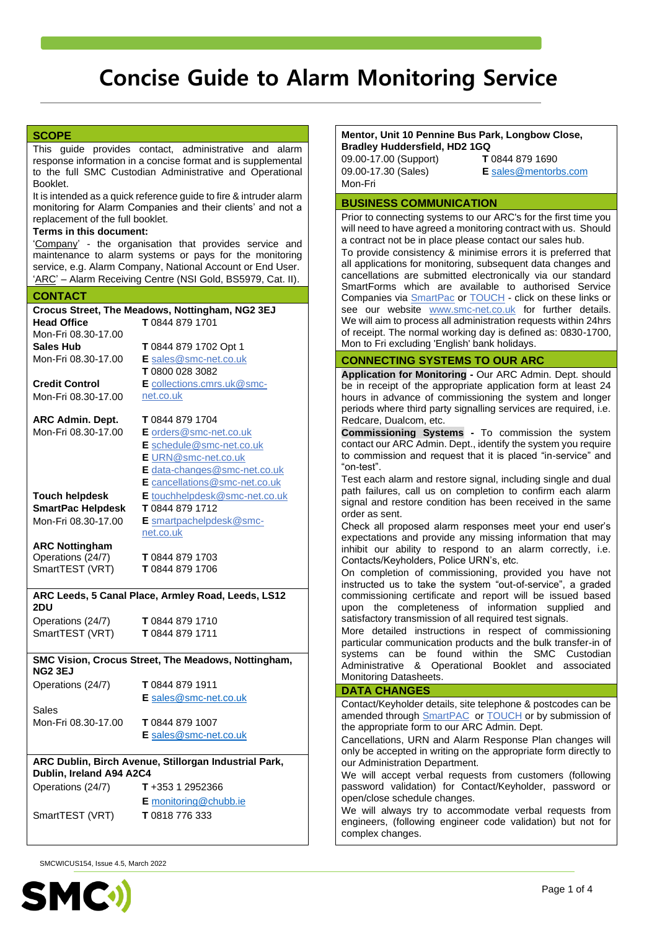# **SCOPE**

This guide provides contact, administrative and alarm response information in a concise format and is supplemental to the full SMC Custodian Administrative and Operational Booklet.

It is intended as a quick reference guide to fire & intruder alarm monitoring for Alarm Companies and their clients' and not a replacement of the full booklet.

#### **Terms in this document:**

'Company' - the organisation that provides service and maintenance to alarm systems or pays for the monitoring service, e.g. Alarm Company, National Account or End User. 'ARC' – Alarm Receiving Centre (NSI Gold, BS5979, Cat. II).

### **CONTACT**

|                          | Crocus Street, The Meadows, Nottingham, NG2 3EJ       |
|--------------------------|-------------------------------------------------------|
| <b>Head Office</b>       | T 0844 879 1701                                       |
| Mon-Fri 08.30-17.00      |                                                       |
| <b>Sales Hub</b>         | T 0844 879 1702 Opt 1                                 |
| Mon-Fri 08.30-17.00      | E sales@smc-net.co.uk                                 |
|                          | T 0800 028 3082                                       |
| <b>Credit Control</b>    | E collections.cmrs.uk@smc-                            |
| Mon-Fri 08.30-17.00      | net.co.uk                                             |
| ARC Admin. Dept.         | T 0844 879 1704                                       |
| Mon-Fri 08.30-17.00      | E orders@smc-net.co.uk                                |
|                          | E schedule@smc-net.co.uk                              |
|                          | EURN@smc-net.co.uk                                    |
|                          | E data-changes@smc-net.co.uk                          |
|                          | E cancellations@smc-net.co.uk                         |
| <b>Touch helpdesk</b>    | E touchhelpdesk@smc-net.co.uk                         |
| <b>SmartPac Helpdesk</b> | T 0844 879 1712                                       |
| Mon-Fri 08.30-17.00      | E smartpachelpdesk@smc-                               |
|                          | net.co.uk                                             |
| <b>ARC Nottingham</b>    |                                                       |
| Operations (24/7)        | T 0844 879 1703                                       |
| SmartTEST (VRT)          | T 0844 879 1706                                       |
|                          |                                                       |
|                          | ARC Leeds, 5 Canal Place, Armley Road, Leeds, LS12    |
| 2DU                      |                                                       |
| Operations (24/7)        | T 0844 879 1710                                       |
| SmartTEST (VRT)          | T 0844 879 1711                                       |
|                          |                                                       |
| <b>NG2 3EJ</b>           | SMC Vision, Crocus Street, The Meadows, Nottingham,   |
|                          | T 0844 879 1911                                       |
| Operations (24/7)        | E sales@smc-net.co.uk                                 |
| Sales                    |                                                       |
| Mon-Fri 08.30-17.00      | T 0844 879 1007                                       |
|                          | E sales@smc-net.co.uk                                 |
|                          |                                                       |
| Dublin, Ireland A94 A2C4 | ARC Dublin, Birch Avenue, Stillorgan Industrial Park, |
|                          | T+353 1 2952366                                       |
| Operations (24/7)        |                                                       |
|                          | E monitoring@chubb.ie                                 |
| SmartTEST (VRT)          | T 0818 776 333                                        |

SMCWICUS154, Issue 4.5, March 2022



#### **Mentor, Unit 10 Pennine Bus Park, Longbow Close, Bradley Huddersfield, HD2 1GQ**

09.00-17.00 (Support) 09.00-17.30 (Sales) Mon-Fri

**T** 0844 879 1690 **E** [sales@mentorbs.com](mailto:sales@mentorbs.com)

#### **BUSINESS COMMUNICATION**

Prior to connecting systems to our ARC's for the first time you will need to have agreed a monitoring contract with us. Should a contract not be in place please contact our sales hub.

To provide consistency & minimise errors it is preferred that all applications for monitoring, subsequent data changes and cancellations are submitted electronically via our standard SmartForms which are available to authorised Service Companies via [SmartPac](http://www.smc-net.co.uk/) or [TOUCH](https://www.touch.estate/(S(20knng555c1g402c3d1ranfn))/Register.aspx) - click on these links or see our website [www.smc-net.co.uk](http://www.smc-net.co.uk/) for further details. We will aim to process all administration requests within 24hrs of receipt. The normal working day is defined as: 0830-1700, Mon to Fri excluding 'English' bank holidays.

### **CONNECTING SYSTEMS TO OUR ARC**

**Application for Monitoring -** Our ARC Admin. Dept. should be in receipt of the appropriate application form at least 24 hours in advance of commissioning the system and longer periods where third party signalling services are required, i.e. Redcare, Dualcom, etc.

**Commissioning Systems -** To commission the system contact our ARC Admin. Dept., identify the system you require to commission and request that it is placed "in-service" and "on-test".

Test each alarm and restore signal, including single and dual path failures, call us on completion to confirm each alarm signal and restore condition has been received in the same order as sent.

Check all proposed alarm responses meet your end user's expectations and provide any missing information that may inhibit our ability to respond to an alarm correctly, i.e. Contacts/Keyholders, Police URN's, etc.

On completion of commissioning, provided you have not instructed us to take the system "out-of-service", a graded commissioning certificate and report will be issued based upon the completeness of information supplied and satisfactory transmission of all required test signals.

More detailed instructions in respect of commissioning particular communication products and the bulk transfer-in of systems can be found within the SMC Custodian Administrative & Operational Booklet and associated Monitoring Datasheets.

#### **DATA CHANGES**

Contact/Keyholder details, site telephone & postcodes can be amended through **SmartPAC** or **TOUCH** or by submission of the appropriate form to our ARC Admin. Dept.

Cancellations, URN and Alarm Response Plan changes will only be accepted in writing on the appropriate form directly to our Administration Department.

We will accept verbal requests from customers (following password validation) for Contact/Keyholder, password or open/close schedule changes.

We will always try to accommodate verbal requests from engineers, (following engineer code validation) but not for complex changes.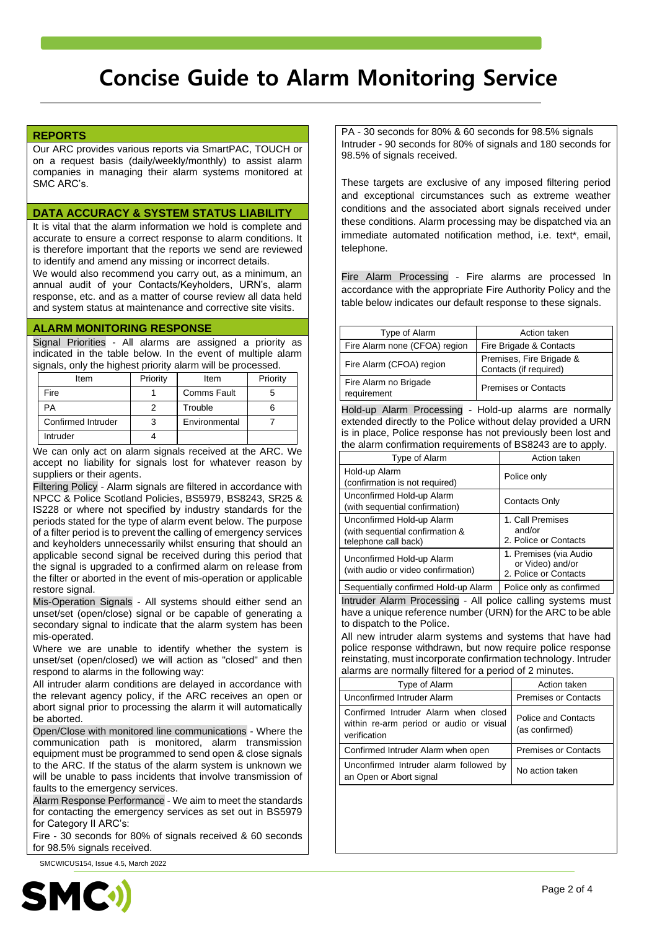# **REPORTS**

Our ARC provides various reports via SmartPAC, TOUCH or on a request basis (daily/weekly/monthly) to assist alarm companies in managing their alarm systems monitored at SMC ARC's.

### **DATA ACCURACY & SYSTEM STATUS LIABILITY**

It is vital that the alarm information we hold is complete and accurate to ensure a correct response to alarm conditions. It is therefore important that the reports we send are reviewed to identify and amend any missing or incorrect details.

We would also recommend you carry out, as a minimum, an annual audit of your Contacts/Keyholders, URN's, alarm response, etc. and as a matter of course review all data held and system status at maintenance and corrective site visits.

## **ALARM MONITORING RESPONSE**

Signal Priorities - All alarms are assigned a priority as indicated in the table below. In the event of multiple alarm signals, only the highest priority alarm will be processed.

| Item               | Priority | Item               | Priority |
|--------------------|----------|--------------------|----------|
| Fire               |          | <b>Comms Fault</b> |          |
| ÞА                 |          | Trouble            |          |
| Confirmed Intruder |          | Environmental      |          |
| Intruder           |          |                    |          |

We can only act on alarm signals received at the ARC. We accept no liability for signals lost for whatever reason by suppliers or their agents.

Filtering Policy - Alarm signals are filtered in accordance with NPCC & Police Scotland Policies, BS5979, BS8243, SR25 & IS228 or where not specified by industry standards for the periods stated for the type of alarm event below. The purpose of a filter period is to prevent the calling of emergency services and keyholders unnecessarily whilst ensuring that should an applicable second signal be received during this period that the signal is upgraded to a confirmed alarm on release from the filter or aborted in the event of mis-operation or applicable restore signal.

Mis-Operation Signals - All systems should either send an unset/set (open/close) signal or be capable of generating a secondary signal to indicate that the alarm system has been mis-operated.

Where we are unable to identify whether the system is unset/set (open/closed) we will action as "closed" and then respond to alarms in the following way:

All intruder alarm conditions are delayed in accordance with the relevant agency policy, if the ARC receives an open or abort signal prior to processing the alarm it will automatically be aborted.

Open/Close with monitored line communications - Where the communication path is monitored, alarm transmission equipment must be programmed to send open & close signals to the ARC. If the status of the alarm system is unknown we will be unable to pass incidents that involve transmission of faults to the emergency services.

Alarm Response Performance - We aim to meet the standards for contacting the emergency services as set out in BS5979 for Category II ARC's:

Fire - 30 seconds for 80% of signals received & 60 seconds for 98.5% signals received.

SMCWICUS154, Issue 4.5, March 2022



PA - 30 seconds for 80% & 60 seconds for 98.5% signals Intruder - 90 seconds for 80% of signals and 180 seconds for 98.5% of signals received.

These targets are exclusive of any imposed filtering period and exceptional circumstances such as extreme weather conditions and the associated abort signals received under these conditions. Alarm processing may be dispatched via an immediate automated notification method, i.e. text\*, email, telephone.

Fire Alarm Processing - Fire alarms are processed In accordance with the appropriate Fire Authority Policy and the table below indicates our default response to these signals.

| Type of Alarm                        | Action taken                                       |
|--------------------------------------|----------------------------------------------------|
| Fire Alarm none (CFOA) region        | Fire Brigade & Contacts                            |
| Fire Alarm (CFOA) region             | Premises, Fire Brigade &<br>Contacts (if required) |
| Fire Alarm no Brigade<br>requirement | <b>Premises or Contacts</b>                        |

Hold-up Alarm Processing - Hold-up alarms are normally extended directly to the Police without delay provided a URN is in place, Police response has not previously been lost and the alarm confirmation requirements of BS8243 are to apply.

| Type of Alarm                                                                        | Action taken                                                        |
|--------------------------------------------------------------------------------------|---------------------------------------------------------------------|
| Hold-up Alarm<br>(confirmation is not required)                                      | Police only                                                         |
| Unconfirmed Hold-up Alarm<br>(with sequential confirmation)                          | Contacts Only                                                       |
| Unconfirmed Hold-up Alarm<br>(with sequential confirmation &<br>telephone call back) | 1. Call Premises<br>and/or<br>2. Police or Contacts                 |
| Unconfirmed Hold-up Alarm<br>(with audio or video confirmation)                      | 1. Premises (via Audio<br>or Video) and/or<br>2. Police or Contacts |
| Sequentially confirmed Hold-up Alarm                                                 | Police only as confirmed                                            |

Intruder Alarm Processing - All police calling systems must have a unique reference number (URN) for the ARC to be able to dispatch to the Police.

All new intruder alarm systems and systems that have had police response withdrawn, but now require police response reinstating, must incorporate confirmation technology. Intruder alarms are normally filtered for a period of 2 minutes.

| Type of Alarm                                                                                   | Action taken                                 |
|-------------------------------------------------------------------------------------------------|----------------------------------------------|
| Unconfirmed Intruder Alarm                                                                      | <b>Premises or Contacts</b>                  |
| Confirmed Intruder Alarm when closed<br>within re-arm period or audio or visual<br>verification | <b>Police and Contacts</b><br>(as confirmed) |
| Confirmed Intruder Alarm when open                                                              | <b>Premises or Contacts</b>                  |
| Unconfirmed Intruder alarm followed by<br>an Open or Abort signal                               | No action taken                              |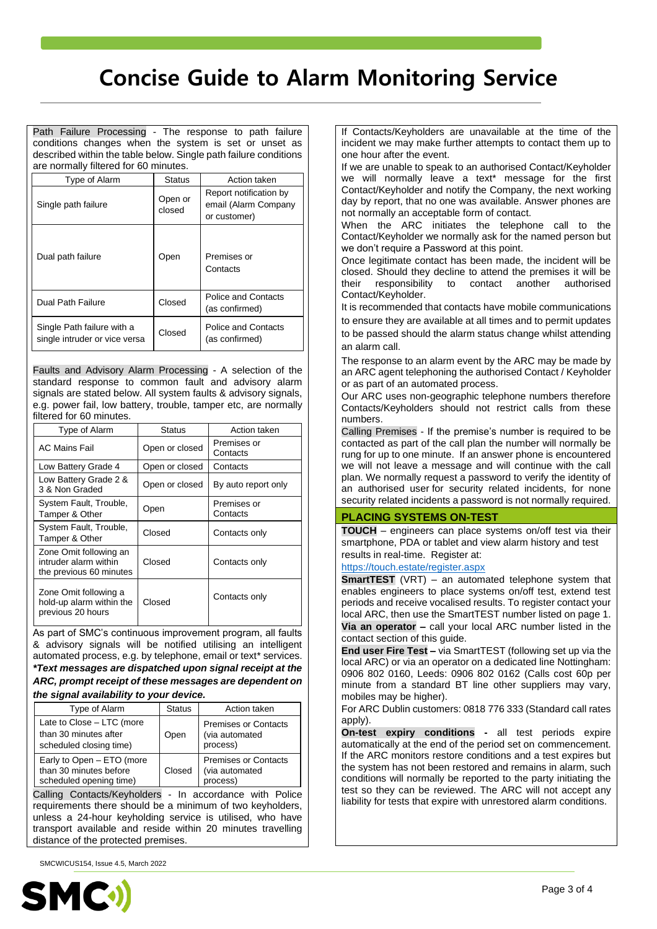Path Failure Processing - The response to path failure conditions changes when the system is set or unset as described within the table below. Single path failure conditions are normally filtered for 60 minutes.

| Type of Alarm                                               | <b>Status</b>     | Action taken                                                   |
|-------------------------------------------------------------|-------------------|----------------------------------------------------------------|
| Single path failure                                         | Open or<br>closed | Report notification by<br>email (Alarm Company<br>or customer) |
| Dual path failure                                           | Open              | Premises or<br>Contacts                                        |
| Dual Path Failure                                           | Closed            | <b>Police and Contacts</b><br>(as confirmed)                   |
| Single Path failure with a<br>single intruder or vice versa | Closed            | <b>Police and Contacts</b><br>(as confirmed)                   |

Faults and Advisory Alarm Processing - A selection of the standard response to common fault and advisory alarm signals are stated below. All system faults & advisory signals, e.g. power fail, low battery, trouble, tamper etc, are normally filtered for 60 minutes.

| Type of Alarm                                                              | <b>Status</b>  | Action taken            |
|----------------------------------------------------------------------------|----------------|-------------------------|
| <b>AC Mains Fail</b>                                                       | Open or closed | Premises or<br>Contacts |
| Low Battery Grade 4                                                        | Open or closed | Contacts                |
| Low Battery Grade 2 &<br>3 & Non Graded                                    | Open or closed | By auto report only     |
| System Fault, Trouble,<br>Tamper & Other                                   | Open           | Premises or<br>Contacts |
| System Fault, Trouble,<br>Tamper & Other                                   | Closed         | Contacts only           |
| Zone Omit following an<br>intruder alarm within<br>the previous 60 minutes | Closed         | Contacts only           |
| Zone Omit following a<br>hold-up alarm within the<br>previous 20 hours     | Closed         | Contacts only           |

As part of SMC's continuous improvement program, all faults & advisory signals will be notified utilising an intelligent automated process, e.g. by telephone, email or text\* services.

*\*Text messages are dispatched upon signal receipt at the ARC, prompt receipt of these messages are dependent on the signal availability to your device.* 

| Type of Alarm                                                                  | <b>Status</b> | Action taken                                              |
|--------------------------------------------------------------------------------|---------------|-----------------------------------------------------------|
| Late to Close - LTC (more<br>than 30 minutes after<br>scheduled closing time)  | Open          | <b>Premises or Contacts</b><br>(via automated<br>process) |
| Early to Open - ETO (more<br>than 30 minutes before<br>scheduled opening time) | Closed        | <b>Premises or Contacts</b><br>(via automated<br>process) |

Calling Contacts/Keyholders - In accordance with Police requirements there should be a minimum of two keyholders, unless a 24-hour keyholding service is utilised, who have transport available and reside within 20 minutes travelling distance of the protected premises.

SMCWICUS154, Issue 4.5, March 2022



If Contacts/Keyholders are unavailable at the time of the incident we may make further attempts to contact them up to one hour after the event.

If we are unable to speak to an authorised Contact/Keyholder we will normally leave a text\* message for the first Contact/Keyholder and notify the Company, the next working day by report, that no one was available. Answer phones are not normally an acceptable form of contact.

When the ARC initiates the telephone call to the Contact/Keyholder we normally ask for the named person but we don't require a Password at this point.

Once legitimate contact has been made, the incident will be closed. Should they decline to attend the premises it will be their responsibility to contact another authorised Contact/Keyholder.

It is recommended that contacts have mobile communications to ensure they are available at all times and to permit updates to be passed should the alarm status change whilst attending an alarm call.

The response to an alarm event by the ARC may be made by an ARC agent telephoning the authorised Contact / Keyholder or as part of an automated process.

Our ARC uses non-geographic telephone numbers therefore Contacts/Keyholders should not restrict calls from these numbers.

Calling Premises - If the premise's number is required to be contacted as part of the call plan the number will normally be rung for up to one minute. If an answer phone is encountered we will not leave a message and will continue with the call plan. We normally request a password to verify the identity of an authorised user for security related incidents, for none security related incidents a password is not normally required.

## **PLACING SYSTEMS ON-TEST**

**TOUCH** – engineers can place systems on/off test via their smartphone, PDA or tablet and view alarm history and test results in real-time. Register at:

#### <https://touch.estate/register.aspx>

**SmartTEST** (VRT) – an automated telephone system that enables engineers to place systems on/off test, extend test periods and receive vocalised results. To register contact your local ARC, then use the SmartTEST number listed on page 1. **Via an operator –** call your local ARC number listed in the contact section of this guide.

**End user Fire Test –** via SmartTEST (following set up via the local ARC) or via an operator on a dedicated line Nottingham: 0906 802 0160, Leeds: 0906 802 0162 (Calls cost 60p per minute from a standard BT line other suppliers may vary, mobiles may be higher).

For ARC Dublin customers: 0818 776 333 (Standard call rates apply).

**On-test expiry conditions -** all test periods expire automatically at the end of the period set on commencement. If the ARC monitors restore conditions and a test expires but the system has not been restored and remains in alarm, such conditions will normally be reported to the party initiating the test so they can be reviewed. The ARC will not accept any liability for tests that expire with unrestored alarm conditions.